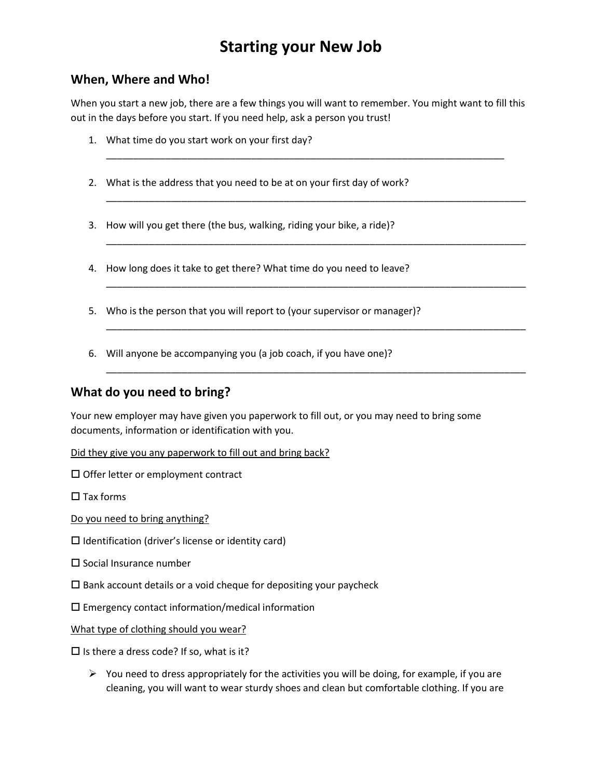# **Starting your New Job**

### **When, Where and Who!**

When you start a new job, there are a few things you will want to remember. You might want to fill this out in the days before you start. If you need help, ask a person you trust!

\_\_\_\_\_\_\_\_\_\_\_\_\_\_\_\_\_\_\_\_\_\_\_\_\_\_\_\_\_\_\_\_\_\_\_\_\_\_\_\_\_\_\_\_\_\_\_\_\_\_\_\_\_\_\_\_\_\_\_\_\_\_\_\_\_\_\_\_\_\_\_\_\_\_

\_\_\_\_\_\_\_\_\_\_\_\_\_\_\_\_\_\_\_\_\_\_\_\_\_\_\_\_\_\_\_\_\_\_\_\_\_\_\_\_\_\_\_\_\_\_\_\_\_\_\_\_\_\_\_\_\_\_\_\_\_\_\_\_\_\_\_\_\_\_\_\_\_\_\_\_\_\_

\_\_\_\_\_\_\_\_\_\_\_\_\_\_\_\_\_\_\_\_\_\_\_\_\_\_\_\_\_\_\_\_\_\_\_\_\_\_\_\_\_\_\_\_\_\_\_\_\_\_\_\_\_\_\_\_\_\_\_\_\_\_\_\_\_\_\_\_\_\_\_\_\_\_\_\_\_\_

\_\_\_\_\_\_\_\_\_\_\_\_\_\_\_\_\_\_\_\_\_\_\_\_\_\_\_\_\_\_\_\_\_\_\_\_\_\_\_\_\_\_\_\_\_\_\_\_\_\_\_\_\_\_\_\_\_\_\_\_\_\_\_\_\_\_\_\_\_\_\_\_\_\_\_\_\_\_

\_\_\_\_\_\_\_\_\_\_\_\_\_\_\_\_\_\_\_\_\_\_\_\_\_\_\_\_\_\_\_\_\_\_\_\_\_\_\_\_\_\_\_\_\_\_\_\_\_\_\_\_\_\_\_\_\_\_\_\_\_\_\_\_\_\_\_\_\_\_\_\_\_\_\_\_\_\_

\_\_\_\_\_\_\_\_\_\_\_\_\_\_\_\_\_\_\_\_\_\_\_\_\_\_\_\_\_\_\_\_\_\_\_\_\_\_\_\_\_\_\_\_\_\_\_\_\_\_\_\_\_\_\_\_\_\_\_\_\_\_\_\_\_\_\_\_\_\_\_\_\_\_\_\_\_\_

- 1. What time do you start work on your first day?
- 2. What is the address that you need to be at on your first day of work?
- 3. How will you get there (the bus, walking, riding your bike, a ride)?
- 4. How long does it take to get there? What time do you need to leave?
- 5. Who is the person that you will report to (your supervisor or manager)?
- 6. Will anyone be accompanying you (a job coach, if you have one)?

#### **What do you need to bring?**

Your new employer may have given you paperwork to fill out, or you may need to bring some documents, information or identification with you.

Did they give you any paperwork to fill out and bring back?

 $\square$  Offer letter or employment contract

 $\square$  Tax forms

Do you need to bring anything?

 $\square$  Identification (driver's license or identity card)

 $\square$  Social Insurance number

 $\square$  Bank account details or a void cheque for depositing your paycheck

 $\square$  Emergency contact information/medical information

What type of clothing should you wear?

 $\square$  Is there a dress code? If so, what is it?

 $\triangleright$  You need to dress appropriately for the activities you will be doing, for example, if you are cleaning, you will want to wear sturdy shoes and clean but comfortable clothing. If you are